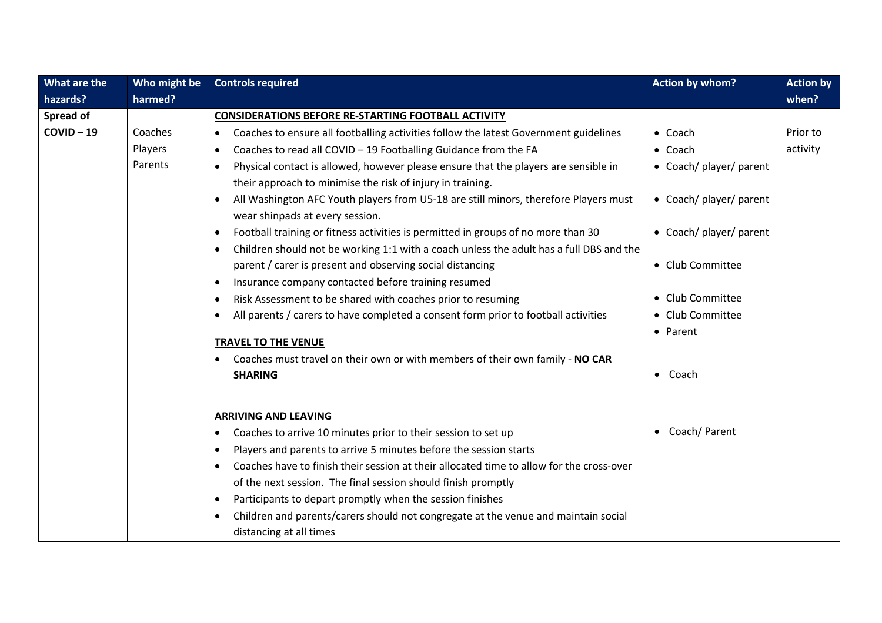| What are the | Who might be | <b>Controls required</b>                                                                                                | <b>Action by whom?</b>     | <b>Action by</b> |
|--------------|--------------|-------------------------------------------------------------------------------------------------------------------------|----------------------------|------------------|
| hazards?     | harmed?      |                                                                                                                         |                            | when?            |
| Spread of    |              | <b>CONSIDERATIONS BEFORE RE-STARTING FOOTBALL ACTIVITY</b>                                                              |                            |                  |
| $COVID-19$   | Coaches      | Coaches to ensure all footballing activities follow the latest Government guidelines<br>$\bullet$                       | $\bullet$ Coach            | Prior to         |
|              | Players      | Coaches to read all COVID - 19 Footballing Guidance from the FA<br>$\bullet$                                            | $\bullet$ Coach            | activity         |
|              | Parents      | Physical contact is allowed, however please ensure that the players are sensible in<br>$\bullet$                        | • Coach/ player/ parent    |                  |
|              |              | their approach to minimise the risk of injury in training.                                                              |                            |                  |
|              |              | All Washington AFC Youth players from U5-18 are still minors, therefore Players must<br>wear shinpads at every session. | • Coach/ player/ parent    |                  |
|              |              | Football training or fitness activities is permitted in groups of no more than 30<br>$\bullet$                          | • Coach/ player/ parent    |                  |
|              |              | Children should not be working 1:1 with a coach unless the adult has a full DBS and the<br>$\bullet$                    |                            |                  |
|              |              | parent / carer is present and observing social distancing                                                               | • Club Committee           |                  |
|              |              | Insurance company contacted before training resumed<br>$\bullet$                                                        |                            |                  |
|              |              | Risk Assessment to be shared with coaches prior to resuming<br>$\bullet$                                                | • Club Committee           |                  |
|              |              | All parents / carers to have completed a consent form prior to football activities<br>$\bullet$                         | • Club Committee           |                  |
|              |              |                                                                                                                         | • Parent                   |                  |
|              |              | <b>TRAVEL TO THE VENUE</b>                                                                                              |                            |                  |
|              |              | Coaches must travel on their own or with members of their own family - NO CAR                                           |                            |                  |
|              |              | <b>SHARING</b>                                                                                                          | Coach<br>$\bullet$         |                  |
|              |              |                                                                                                                         |                            |                  |
|              |              | <b>ARRIVING AND LEAVING</b>                                                                                             |                            |                  |
|              |              | Coaches to arrive 10 minutes prior to their session to set up<br>$\bullet$                                              | Coach/ Parent<br>$\bullet$ |                  |
|              |              | Players and parents to arrive 5 minutes before the session starts<br>$\bullet$                                          |                            |                  |
|              |              | Coaches have to finish their session at their allocated time to allow for the cross-over<br>$\bullet$                   |                            |                  |
|              |              | of the next session. The final session should finish promptly                                                           |                            |                  |
|              |              | Participants to depart promptly when the session finishes<br>$\bullet$                                                  |                            |                  |
|              |              | Children and parents/carers should not congregate at the venue and maintain social<br>$\bullet$                         |                            |                  |
|              |              | distancing at all times                                                                                                 |                            |                  |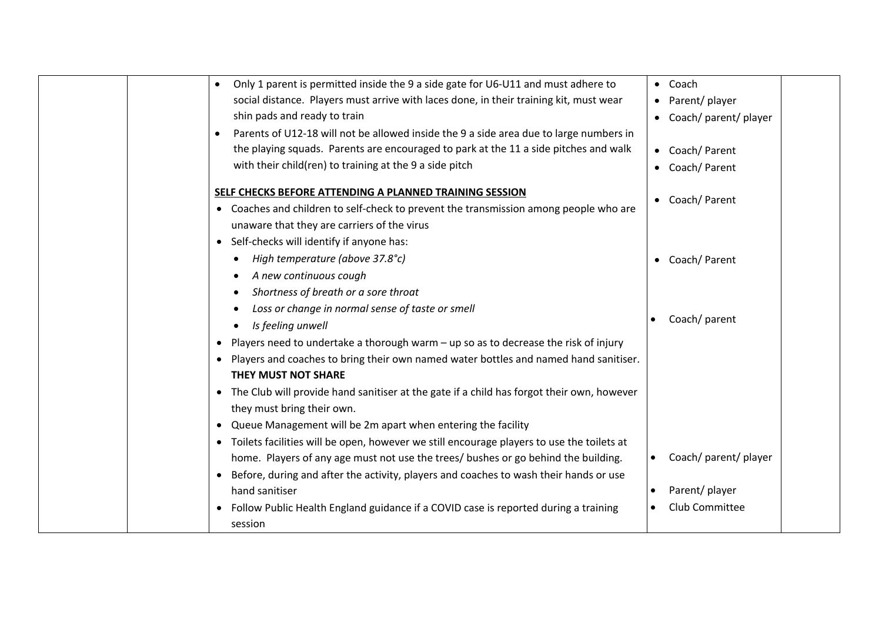| Only 1 parent is permitted inside the 9 a side gate for U6-U11 and must adhere to<br>$\bullet$      | • Coach                            |
|-----------------------------------------------------------------------------------------------------|------------------------------------|
| social distance. Players must arrive with laces done, in their training kit, must wear              | • Parent/ player                   |
| shin pads and ready to train                                                                        | • Coach/ parent/ player            |
| Parents of U12-18 will not be allowed inside the 9 a side area due to large numbers in<br>$\bullet$ |                                    |
| the playing squads. Parents are encouraged to park at the 11 a side pitches and walk                | • Coach/Parent                     |
| with their child(ren) to training at the 9 a side pitch                                             | • Coach/Parent                     |
| SELF CHECKS BEFORE ATTENDING A PLANNED TRAINING SESSION                                             |                                    |
| • Coaches and children to self-check to prevent the transmission among people who are               | • Coach/ Parent                    |
| unaware that they are carriers of the virus                                                         |                                    |
| • Self-checks will identify if anyone has:                                                          |                                    |
| High temperature (above 37.8°c)                                                                     | • Coach/Parent                     |
| A new continuous cough                                                                              |                                    |
| Shortness of breath or a sore throat                                                                |                                    |
| Loss or change in normal sense of taste or smell                                                    |                                    |
| Is feeling unwell                                                                                   | Coach/ parent                      |
| Players need to undertake a thorough warm - up so as to decrease the risk of injury<br>$\bullet$    |                                    |
| Players and coaches to bring their own named water bottles and named hand sanitiser.<br>٠           |                                    |
| <b>THEY MUST NOT SHARE</b>                                                                          |                                    |
| • The Club will provide hand sanitiser at the gate if a child has forgot their own, however         |                                    |
| they must bring their own.                                                                          |                                    |
| Queue Management will be 2m apart when entering the facility<br>$\bullet$                           |                                    |
| Toilets facilities will be open, however we still encourage players to use the toilets at           |                                    |
| home. Players of any age must not use the trees/ bushes or go behind the building.                  | Coach/ parent/ player<br>$\bullet$ |
| Before, during and after the activity, players and coaches to wash their hands or use               |                                    |
| hand sanitiser                                                                                      | Parent/ player<br>$\bullet$        |
| Follow Public Health England guidance if a COVID case is reported during a training<br>$\bullet$    | Club Committee                     |
| session                                                                                             |                                    |
|                                                                                                     |                                    |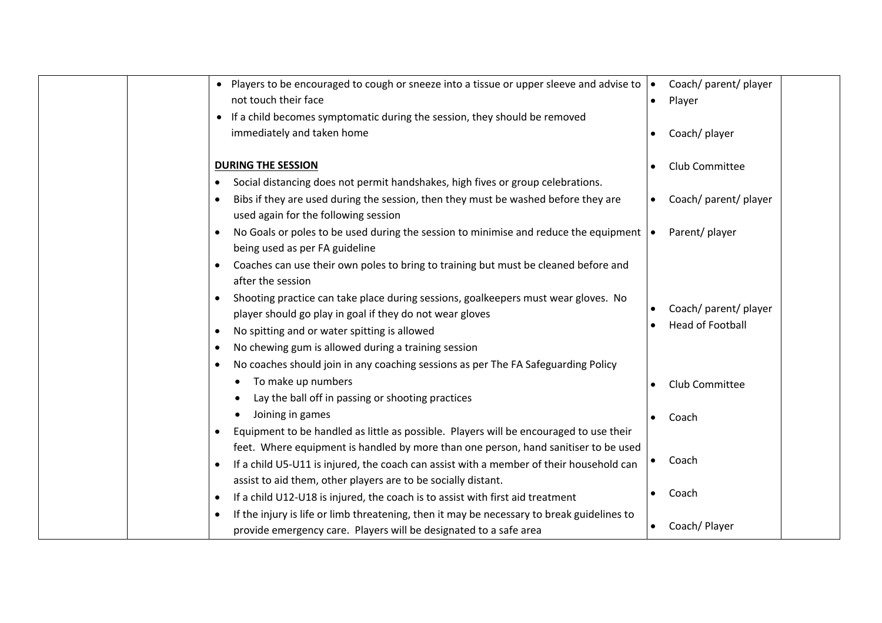| • Players to be encouraged to cough or sneeze into a tissue or upper sleeve and advise to                 |           | Coach/ parent/ player   |
|-----------------------------------------------------------------------------------------------------------|-----------|-------------------------|
| not touch their face                                                                                      |           | Player                  |
| If a child becomes symptomatic during the session, they should be removed<br>$\bullet$                    |           |                         |
| immediately and taken home                                                                                |           | Coach/ player           |
|                                                                                                           |           |                         |
| <b>DURING THE SESSION</b>                                                                                 |           | Club Committee          |
| Social distancing does not permit handshakes, high fives or group celebrations.                           |           |                         |
| Bibs if they are used during the session, then they must be washed before they are                        | $\bullet$ | Coach/ parent/ player   |
| used again for the following session                                                                      |           |                         |
| No Goals or poles to be used during the session to minimise and reduce the equipment $\cdot$<br>$\bullet$ |           | Parent/player           |
| being used as per FA guideline                                                                            |           |                         |
| Coaches can use their own poles to bring to training but must be cleaned before and                       |           |                         |
| after the session                                                                                         |           |                         |
| Shooting practice can take place during sessions, goalkeepers must wear gloves. No                        |           |                         |
| player should go play in goal if they do not wear gloves                                                  |           | Coach/ parent/ player   |
| No spitting and or water spitting is allowed<br>$\bullet$                                                 |           | <b>Head of Football</b> |
| No chewing gum is allowed during a training session<br>$\bullet$                                          |           |                         |
| No coaches should join in any coaching sessions as per The FA Safeguarding Policy                         |           |                         |
| To make up numbers                                                                                        |           | Club Committee          |
| Lay the ball off in passing or shooting practices                                                         |           |                         |
| Joining in games                                                                                          |           | Coach                   |
| Equipment to be handled as little as possible. Players will be encouraged to use their<br>$\bullet$       |           |                         |
| feet. Where equipment is handled by more than one person, hand sanitiser to be used                       |           |                         |
| If a child U5-U11 is injured, the coach can assist with a member of their household can                   |           | Coach                   |
| assist to aid them, other players are to be socially distant.                                             |           |                         |
| If a child U12-U18 is injured, the coach is to assist with first aid treatment<br>$\bullet$               |           | Coach                   |
| If the injury is life or limb threatening, then it may be necessary to break guidelines to<br>$\bullet$   |           |                         |
| provide emergency care. Players will be designated to a safe area                                         |           | Coach/Player            |